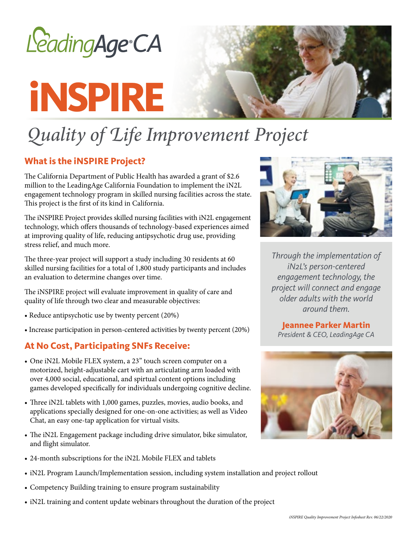

# **iNSPIRE**



# *Quality of Life Improvement Project*

#### **What is the iNSPIRE Project?**

The California Department of Public Health has awarded a grant of \$2.6 million to the LeadingAge California Foundation to implement the iN2L engagement technology program in skilled nursing facilities across the state. This project is the first of its kind in California.

The iNSPIRE Project provides skilled nursing facilities with iN2L engagement technology, which offers thousands of technology-based experiences aimed at improving quality of life, reducing antipsychotic drug use, providing stress relief, and much more.

The three-year project will support a study including 30 residents at 60 skilled nursing facilities for a total of 1,800 study participants and includes an evaluation to determine changes over time.

The iNSPIRE project will evaluate improvement in quality of care and quality of life through two clear and measurable objectives:

- Reduce antipsychotic use by twenty percent (20%)
- Increase participation in person-centered activities by twenty percent (20%)

#### **At No Cost, Participating SNFs Receive:**

- One iN2L Mobile FLEX system, a 23" touch screen computer on a motorized, height-adjustable cart with an articulating arm loaded with over 4,000 social, educational, and spirtual content options including games developed specifically for individuals undergoing cognitive decline.
- Three iN2L tablets with 1,000 games, puzzles, movies, audio books, and applications specially designed for one-on-one activities; as well as Video Chat, an easy one-tap application for virtual visits.
- The iN2L Engagement package including drive simulator, bike simulator, and flight simulator.
- 24-month subscriptions for the iN2L Mobile FLEX and tablets
- iN2L Program Launch/Implementation session, including system installation and project rollout
- Competency Building training to ensure program sustainability
- iN2L training and content update webinars throughout the duration of the project



*Through the implementation of iN2L's person-centered engagement technology, the project will connect and engage older adults with the world around them.*

## **Jeannee Parker Martin**

*President & CEO, LeadingAge CA*